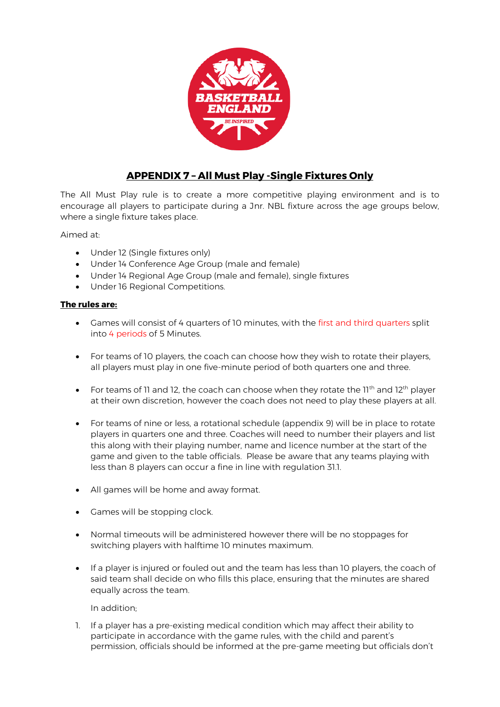

## **APPENDIX 7 – All Must Play -Single Fixtures Only**

The All Must Play rule is to create a more competitive playing environment and is to encourage all players to participate during a Jnr. NBL fixture across the age groups below, where a single fixture takes place.

Aimed at:

- Under 12 (Single fixtures only)
- Under 14 Conference Age Group (male and female)
- Under 14 Regional Age Group (male and female), single fixtures
- Under 16 Regional Competitions.

## **The rules are:**

- Games will consist of 4 quarters of 10 minutes, with the first and third quarters split into 4 periods of 5 Minutes.
- For teams of 10 players, the coach can choose how they wish to rotate their players, all players must play in one five-minute period of both quarters one and three.
- For teams of 11 and 12, the coach can choose when they rotate the 11<sup>th</sup> and 12<sup>th</sup> player at their own discretion, however the coach does not need to play these players at all.
- For teams of nine or less, a rotational schedule (appendix 9) will be in place to rotate players in quarters one and three. Coaches will need to number their players and list this along with their playing number, name and licence number at the start of the game and given to the table officials. Please be aware that any teams playing with less than 8 players can occur a fine in line with regulation 31.1.
- All games will be home and away format.
- Games will be stopping clock.
- Normal timeouts will be administered however there will be no stoppages for switching players with halftime 10 minutes maximum.
- If a player is injured or fouled out and the team has less than 10 players, the coach of said team shall decide on who fills this place, ensuring that the minutes are shared equally across the team.

In addition;

1. If a player has a pre-existing medical condition which may affect their ability to participate in accordance with the game rules, with the child and parent's permission, officials should be informed at the pre-game meeting but officials don't